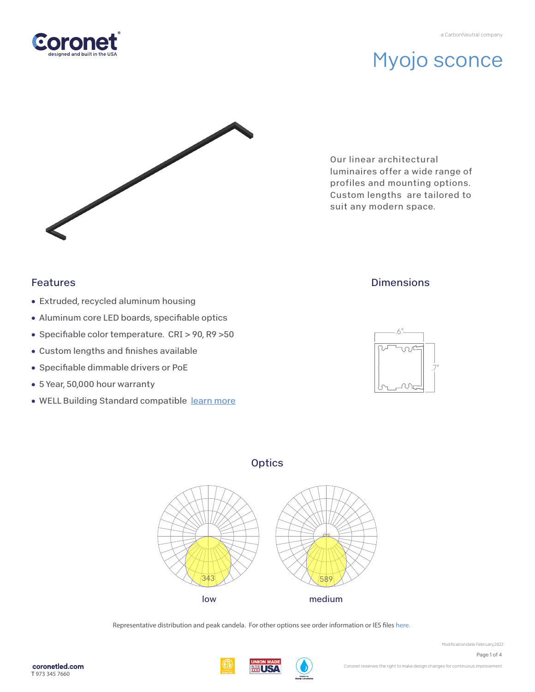



Our linear architectural luminaires offer a wide range of profiles and mounting options. Custom lengths are tailored to suit any modern space.

### Features

- Extruded, recycled aluminum housing
- Aluminum core LED boards, specifiable optics
- Specifiable color temperature. CRI > 90, R9 > 50
- Custom lengths and finishes available
- Specifiable dimmable drivers or PoE
- 5 Year, 50,000 hour warranty
- WELL Building Standard compatible learn more

### **Dimensions**



### **Optics**



Representative distribution and peak candela. For other options see order information or IES files here.

Page 1 of 4



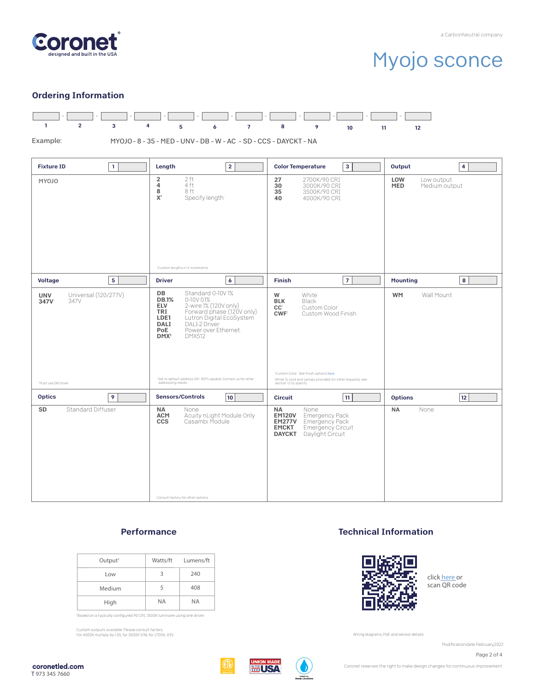

#### Ordering Information



#### **Performance**

| Output <sup>1</sup> |           | Watts/ft Lumens/ft |
|---------------------|-----------|--------------------|
| Low                 | 3         | 240                |
| Medium              | 5         | 408                |
| High                | <b>NA</b> | <b>NA</b>          |

'Based on a typically configured 90 CRI, 3500K luminaire using one driver.

Custom outputs available. Please consult factory. For 4000K multiply by 1.05; for 3000K 0.96; for 2700K, 0.92.

#### Technical Information



click here or scan QR code

Wiring diagrams, PoE and sensor details

Modification date: February, 2022

Page 2 of 4



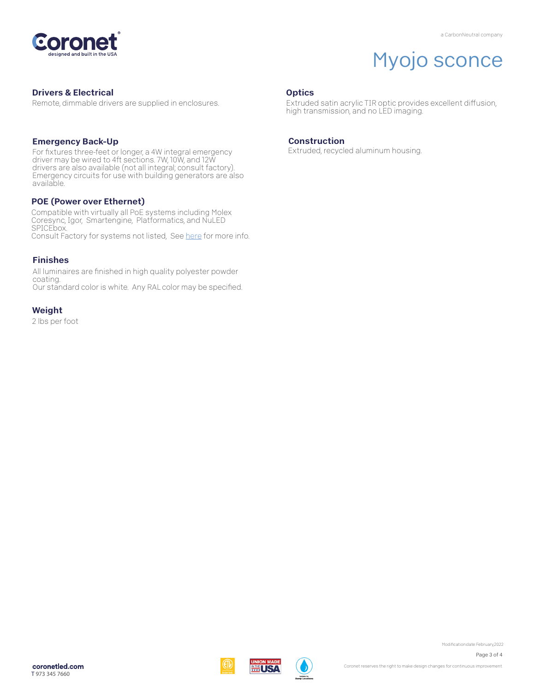

#### Drivers & Electrical

Remote, dimmable drivers are supplied in enclosures.

#### Emergency Back-Up

For fixtures three-feet or longer, a 4W integral emergency driver may be wired to 4ft sections. 7W, 10W, and 12W drivers are also available (not all integral; consult factory). Emergency circuits for use with building generators are also available.

#### POE (Power over Ethernet)

Compatible with virtually all PoE systems including Molex Coresync, Igor, Smartengine, Platformatics, and NuLED SPICEbox. Consult Factory for systems not listed, See here for more info.

#### Finishes

All luminaires are finished in high quality polyester powder coating. Our standard color is white. Any RAL color may be specified.

#### Weight

2 lbs per foot

#### **Optics**

Extruded satin acrylic TIR optic provides excellent diffusion, high transmission, and no LED imaging.

#### Construction

Extruded, recycled aluminum housing.







Modification date: February, 2022

Page 3 of 4